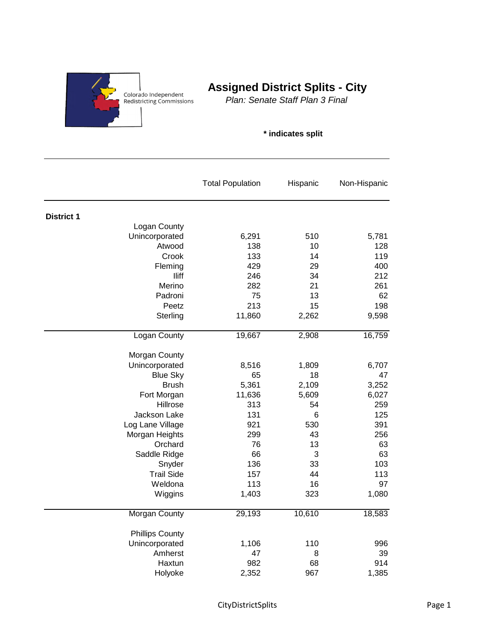

## **Assigned District Splits - City**

*Plan: Senate Staff Plan 3 Final*

## **\* indicates split**

|                        | <b>Total Population</b> | Hispanic | Non-Hispanic |
|------------------------|-------------------------|----------|--------------|
| <b>District 1</b>      |                         |          |              |
| Logan County           |                         |          |              |
| Unincorporated         | 6,291                   | 510      | 5,781        |
| Atwood                 | 138                     | 10       | 128          |
| Crook                  | 133                     | 14       | 119          |
| Fleming                | 429                     | 29       | 400          |
| lliff                  | 246                     | 34       | 212          |
| Merino                 | 282                     | 21       | 261          |
| Padroni                | 75                      | 13       | 62           |
| Peetz                  | 213                     | 15       | 198          |
| Sterling               | 11,860                  | 2,262    | 9,598        |
| <b>Logan County</b>    | 19,667                  | 2,908    | 16,759       |
| Morgan County          |                         |          |              |
| Unincorporated         | 8,516                   | 1,809    | 6,707        |
| <b>Blue Sky</b>        | 65                      | 18       | 47           |
| <b>Brush</b>           | 5,361                   | 2,109    | 3,252        |
| Fort Morgan            | 11,636                  | 5,609    | 6,027        |
| Hillrose               | 313                     | 54       | 259          |
| Jackson Lake           | 131                     | 6        | 125          |
| Log Lane Village       | 921                     | 530      | 391          |
| Morgan Heights         | 299                     | 43       | 256          |
| Orchard                | 76                      | 13       | 63           |
| Saddle Ridge           | 66                      | 3        | 63           |
| Snyder                 | 136                     | 33       | 103          |
| <b>Trail Side</b>      | 157                     | 44       | 113          |
| Weldona                | 113                     | 16       | 97           |
| Wiggins                | 1,403                   | 323      | 1,080        |
| Morgan County          | 29,193                  | 10,610   | 18,583       |
| <b>Phillips County</b> |                         |          |              |
| Unincorporated         | 1,106                   | 110      | 996          |
| Amherst                | 47                      | 8        | 39           |
| Haxtun                 | 982                     | 68       | 914          |
| Holyoke                | 2,352                   | 967      | 1,385        |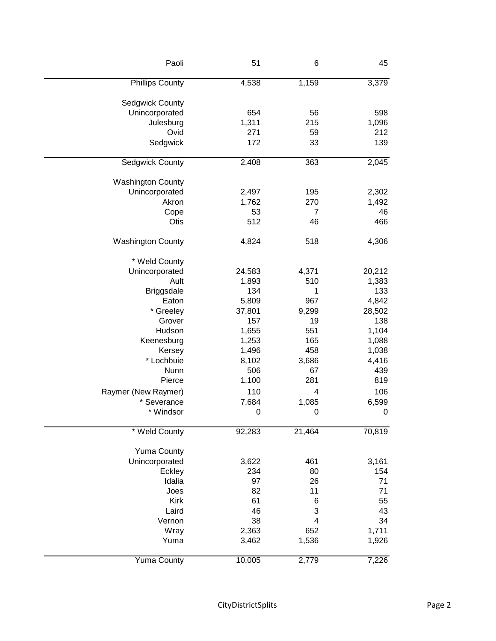| Paoli                    | 51     | 6      | 45          |
|--------------------------|--------|--------|-------------|
| <b>Phillips County</b>   | 4,538  | 1,159  | 3,379       |
| <b>Sedgwick County</b>   |        |        |             |
| Unincorporated           | 654    | 56     | 598         |
| Julesburg                | 1,311  | 215    | 1,096       |
| Ovid                     | 271    | 59     | 212         |
| Sedgwick                 | 172    | 33     | 139         |
| Sedgwick County          | 2,408  | 363    | 2,045       |
|                          |        |        |             |
| <b>Washington County</b> |        |        |             |
| Unincorporated           | 2,497  | 195    | 2,302       |
| Akron                    | 1,762  | 270    | 1,492       |
| Cope                     | 53     | 7      | 46          |
| Otis                     | 512    | 46     | 466         |
| <b>Washington County</b> | 4,824  | 518    | 4,306       |
| * Weld County            |        |        |             |
| Unincorporated           | 24,583 | 4,371  | 20,212      |
| Ault                     | 1,893  | 510    | 1,383       |
| <b>Briggsdale</b>        | 134    | 1      | 133         |
| Eaton                    | 5,809  | 967    | 4,842       |
| * Greeley                | 37,801 | 9,299  | 28,502      |
| Grover                   | 157    | 19     | 138         |
|                          |        |        |             |
| Hudson                   | 1,655  | 551    | 1,104       |
| Keenesburg               | 1,253  | 165    | 1,088       |
| Kersey                   | 1,496  | 458    | 1,038       |
| * Lochbuie               | 8,102  | 3,686  | 4,416       |
| Nunn                     | 506    | 67     | 439         |
| Pierce                   | 1,100  | 281    | 819         |
| Raymer (New Raymer)      | 110    | 4      | 106         |
| * Severance              | 7,684  | 1,085  | 6,599       |
| * Windsor                | 0      | 0      | $\mathbf 0$ |
| * Weld County            | 92,283 | 21,464 | 70,819      |
| <b>Yuma County</b>       |        |        |             |
| Unincorporated           | 3,622  | 461    | 3,161       |
| Eckley                   | 234    | 80     | 154         |
| Idalia                   | 97     | 26     | 71          |
|                          |        |        |             |
| Joes                     | 82     | 11     | 71          |
| Kirk                     | 61     | 6      | 55          |
| Laird                    | 46     | 3      | 43          |
| Vernon                   | 38     | 4      | 34          |
| Wray                     | 2,363  | 652    | 1,711       |
| Yuma                     | 3,462  | 1,536  | 1,926       |
| <b>Yuma County</b>       | 10,005 | 2,779  | 7,226       |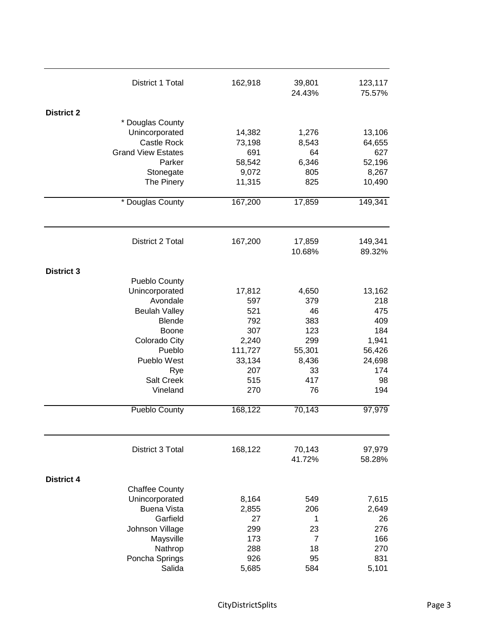|                   | District 1 Total          | 162,918 | 39,801<br>24.43% | 123,117<br>75.57% |
|-------------------|---------------------------|---------|------------------|-------------------|
| <b>District 2</b> |                           |         |                  |                   |
|                   | * Douglas County          |         |                  |                   |
|                   | Unincorporated            | 14,382  | 1,276            | 13,106            |
|                   | Castle Rock               | 73,198  | 8,543            | 64,655            |
|                   | <b>Grand View Estates</b> | 691     | 64               | 627               |
|                   | Parker                    | 58,542  | 6,346            | 52,196            |
|                   | Stonegate                 | 9,072   | 805              | 8,267             |
|                   | The Pinery                | 11,315  | 825              | 10,490            |
|                   |                           |         |                  |                   |
|                   | * Douglas County          | 167,200 | 17,859           | 149,341           |
|                   | District 2 Total          | 167,200 | 17,859           | 149,341           |
|                   |                           |         | 10.68%           | 89.32%            |
| <b>District 3</b> |                           |         |                  |                   |
|                   | <b>Pueblo County</b>      |         |                  |                   |
|                   | Unincorporated            | 17,812  | 4,650            | 13,162            |
|                   | Avondale                  | 597     | 379              | 218               |
|                   | <b>Beulah Valley</b>      | 521     | 46               | 475               |
|                   | <b>Blende</b>             | 792     | 383              | 409               |
|                   | <b>Boone</b>              | 307     | 123              | 184               |
|                   | Colorado City             | 2,240   | 299              | 1,941             |
|                   | Pueblo                    | 111,727 | 55,301           | 56,426            |
|                   | Pueblo West               | 33,134  | 8,436            | 24,698            |
|                   | Rye                       | 207     | 33               | 174               |
|                   | <b>Salt Creek</b>         | 515     | 417              | 98                |
|                   | Vineland                  | 270     | 76               | 194               |
|                   | Pueblo County             | 168,122 | 70,143           | 97,979            |
|                   | District 3 Total          | 168,122 | 70,143           | 97,979            |
|                   |                           |         | 41.72%           | 58.28%            |
| <b>District 4</b> |                           |         |                  |                   |
|                   | <b>Chaffee County</b>     |         |                  |                   |
|                   | Unincorporated            | 8,164   | 549              | 7,615             |
|                   | <b>Buena Vista</b>        | 2,855   | 206              | 2,649             |
|                   | Garfield                  | 27      | 1                | 26                |
|                   | Johnson Village           | 299     | 23               | 276               |
|                   | Maysville                 | 173     | $\overline{7}$   | 166               |
|                   | Nathrop                   | 288     | 18               | 270               |
|                   | Poncha Springs            | 926     | 95               | 831               |
|                   | Salida                    | 5,685   | 584              | 5,101             |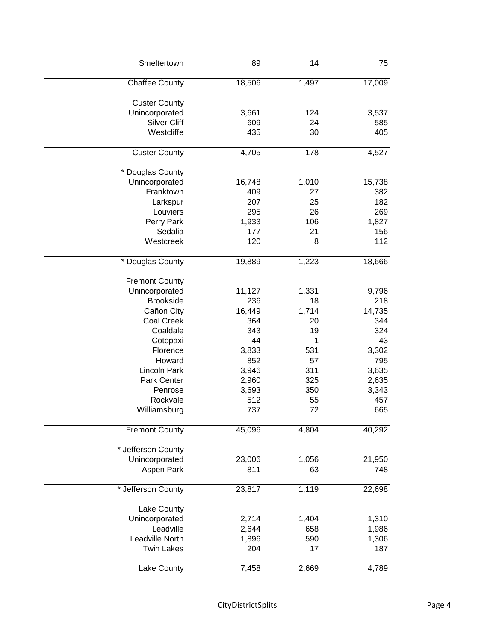| Smeltertown           | 89     | 14    | 75     |
|-----------------------|--------|-------|--------|
| <b>Chaffee County</b> | 18,506 | 1,497 | 17,009 |
| <b>Custer County</b>  |        |       |        |
| Unincorporated        | 3,661  | 124   | 3,537  |
| <b>Silver Cliff</b>   | 609    | 24    | 585    |
| Westcliffe            | 435    | 30    | 405    |
| <b>Custer County</b>  | 4,705  | 178   | 4,527  |
|                       |        |       |        |
| * Douglas County      |        |       |        |
| Unincorporated        | 16,748 | 1,010 | 15,738 |
| Franktown             | 409    | 27    | 382    |
| Larkspur              | 207    | 25    | 182    |
| Louviers              | 295    | 26    | 269    |
| Perry Park            | 1,933  | 106   | 1,827  |
| Sedalia               | 177    | 21    | 156    |
| Westcreek             | 120    | 8     | 112    |
| * Douglas County      | 19,889 | 1,223 | 18,666 |
|                       |        |       |        |
| <b>Fremont County</b> |        |       |        |
| Unincorporated        | 11,127 | 1,331 | 9,796  |
| <b>Brookside</b>      | 236    | 18    | 218    |
| Cañon City            | 16,449 | 1,714 | 14,735 |
| <b>Coal Creek</b>     | 364    | 20    | 344    |
| Coaldale              | 343    | 19    | 324    |
| Cotopaxi              | 44     | 1     | 43     |
| Florence              | 3,833  | 531   | 3,302  |
| Howard                | 852    | 57    | 795    |
| <b>Lincoln Park</b>   | 3,946  | 311   | 3,635  |
| Park Center           | 2,960  | 325   | 2,635  |
| Penrose               | 3,693  | 350   | 3,343  |
| Rockvale              | 512    | 55    | 457    |
| Williamsburg          | 737    | 72    | 665    |
| <b>Fremont County</b> | 45,096 | 4,804 | 40,292 |
|                       |        |       |        |
| * Jefferson County    |        |       |        |
| Unincorporated        | 23,006 | 1,056 | 21,950 |
| Aspen Park            | 811    | 63    | 748    |
| * Jefferson County    | 23,817 | 1,119 | 22,698 |
| Lake County           |        |       |        |
| Unincorporated        | 2,714  | 1,404 | 1,310  |
| Leadville             | 2,644  | 658   | 1,986  |
| Leadville North       | 1,896  | 590   |        |
|                       |        |       | 1,306  |
| <b>Twin Lakes</b>     | 204    | 17    | 187    |
| Lake County           | 7,458  | 2,669 | 4,789  |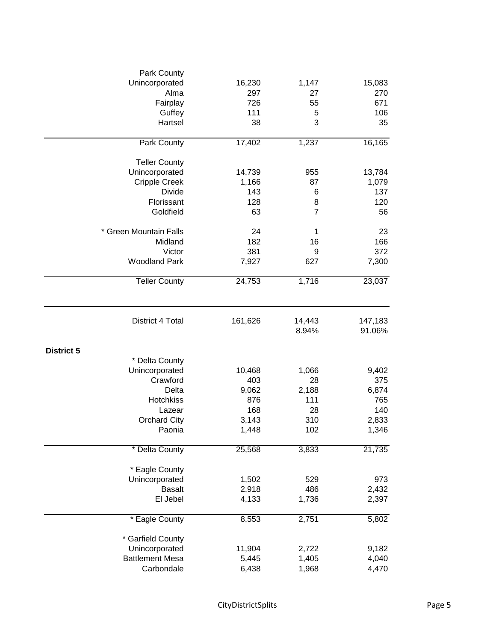| Park County            |         |                |         |
|------------------------|---------|----------------|---------|
| Unincorporated         | 16,230  | 1,147          | 15,083  |
| Alma                   | 297     | 27             | 270     |
| Fairplay               | 726     | 55             | 671     |
| Guffey                 | 111     | 5              | 106     |
| Hartsel                | 38      | 3              | 35      |
| Park County            | 17,402  | 1,237          | 16,165  |
| <b>Teller County</b>   |         |                |         |
| Unincorporated         | 14,739  | 955            | 13,784  |
| <b>Cripple Creek</b>   | 1,166   | 87             | 1,079   |
| Divide                 | 143     | 6              | 137     |
| Florissant             | 128     | 8              | 120     |
| Goldfield              | 63      | $\overline{7}$ | 56      |
| * Green Mountain Falls | 24      | $\mathbf 1$    | 23      |
| Midland                | 182     | 16             | 166     |
| Victor                 | 381     | 9              | 372     |
| <b>Woodland Park</b>   | 7,927   | 627            | 7,300   |
| <b>Teller County</b>   | 24,753  | 1,716          | 23,037  |
|                        |         |                |         |
| District 4 Total       | 161,626 | 14,443         | 147,183 |
|                        |         | 8.94%          | 91.06%  |
| <b>District 5</b>      |         |                |         |
| * Delta County         |         |                |         |
| Unincorporated         | 10,468  | 1,066          | 9,402   |
| Crawford               | 403     | 28             | 375     |
| Delta                  | 9,062   | 2,188          | 6,874   |
| Hotchkiss              | 876     | 111            | 765     |
| Lazear                 | 168     | 28             | 140     |
| <b>Orchard City</b>    | 3,143   | 310            | 2,833   |
| Paonia                 | 1,448   | 102            | 1,346   |
| * Delta County         | 25,568  | 3,833          | 21,735  |
| * Eagle County         |         |                |         |
| Unincorporated         | 1,502   | 529            | 973     |
| <b>Basalt</b>          | 2,918   | 486            | 2,432   |
| El Jebel               | 4,133   | 1,736          | 2,397   |
| * Eagle County         | 8,553   | 2,751          | 5,802   |
| * Garfield County      |         |                |         |
| Unincorporated         | 11,904  | 2,722          | 9,182   |
| <b>Battlement Mesa</b> | 5,445   | 1,405          | 4,040   |
| Carbondale             | 6,438   | 1,968          | 4,470   |
|                        |         |                |         |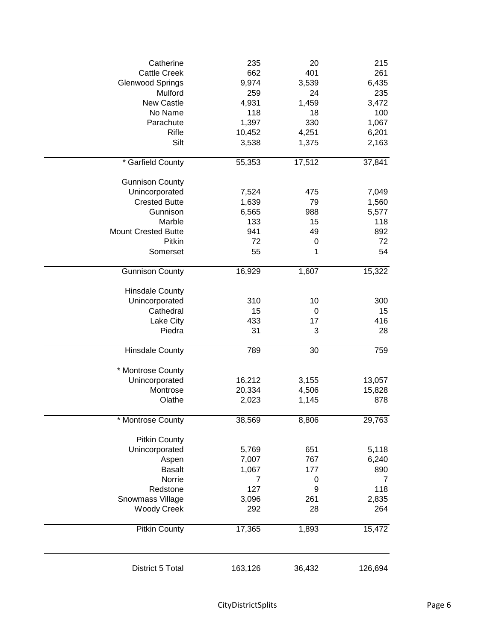| Catherine<br><b>Cattle Creek</b><br><b>Glenwood Springs</b><br>Mulford<br>New Castle<br>No Name<br>Parachute<br>Rifle<br>Silt                                        | 235<br>662<br>9,974<br>259<br>4,931<br>118<br>1,397<br>10,452<br>3,538 | 20<br>401<br>3,539<br>24<br>1,459<br>18<br>330<br>4,251<br>1,375 | 215<br>261<br>6,435<br>235<br>3,472<br>100<br>1,067<br>6,201<br>2,163 |
|----------------------------------------------------------------------------------------------------------------------------------------------------------------------|------------------------------------------------------------------------|------------------------------------------------------------------|-----------------------------------------------------------------------|
| * Garfield County                                                                                                                                                    | 55,353                                                                 | 17,512                                                           | 37,841                                                                |
| <b>Gunnison County</b><br>Unincorporated<br><b>Crested Butte</b><br>Gunnison<br>Marble<br><b>Mount Crested Butte</b><br>Pitkin<br>Somerset<br><b>Gunnison County</b> | 7,524<br>1,639<br>6,565<br>133<br>941<br>72<br>55<br>16,929            | 475<br>79<br>988<br>15<br>49<br>0<br>1<br>1,607                  | 7,049<br>1,560<br>5,577<br>118<br>892<br>72<br>54<br>15,322           |
| <b>Hinsdale County</b><br>Unincorporated<br>Cathedral<br>Lake City<br>Piedra                                                                                         | 310<br>15<br>433<br>31                                                 | 10<br>0<br>17<br>3                                               | 300<br>15<br>416<br>28                                                |
| <b>Hinsdale County</b>                                                                                                                                               | 789                                                                    | 30                                                               | 759                                                                   |
| * Montrose County<br>Unincorporated<br>Montrose<br>Olathe                                                                                                            | 16,212<br>20,334<br>2,023                                              | 3,155<br>4,506<br>1,145                                          | 13,057<br>15,828<br>878                                               |
| <b>Montrose County</b>                                                                                                                                               | 38,569                                                                 | 8,806                                                            | 29,763                                                                |
| <b>Pitkin County</b><br>Unincorporated<br>Aspen<br><b>Basalt</b><br>Norrie<br>Redstone<br>Snowmass Village<br><b>Woody Creek</b><br><b>Pitkin County</b>             | 5,769<br>7,007<br>1,067<br>7<br>127<br>3,096<br>292<br>17,365          | 651<br>767<br>177<br>0<br>9<br>261<br>28<br>1,893                | 5,118<br>6,240<br>890<br>7<br>118<br>2,835<br>264<br>15,472           |
| District 5 Total                                                                                                                                                     | 163,126                                                                | 36,432                                                           | 126,694                                                               |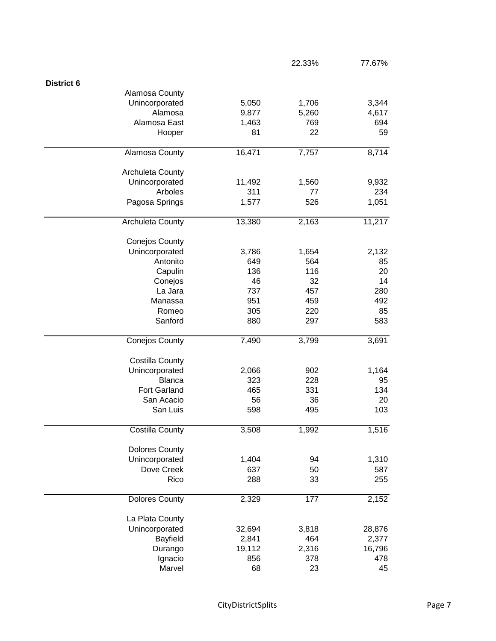|                         |        | 22.33% | 77.67% |
|-------------------------|--------|--------|--------|
| <b>District 6</b>       |        |        |        |
| Alamosa County          |        |        |        |
| Unincorporated          | 5,050  | 1,706  | 3,344  |
| Alamosa                 | 9,877  | 5,260  | 4,617  |
| Alamosa East            | 1,463  | 769    | 694    |
| Hooper                  | 81     | 22     | 59     |
|                         |        |        |        |
| <b>Alamosa County</b>   | 16,471 | 7,757  | 8,714  |
| <b>Archuleta County</b> |        |        |        |
| Unincorporated          | 11,492 | 1,560  | 9,932  |
| Arboles                 | 311    | 77     | 234    |
| Pagosa Springs          | 1,577  | 526    | 1,051  |
| Archuleta County        | 13,380 | 2,163  | 11,217 |
| <b>Conejos County</b>   |        |        |        |
| Unincorporated          | 3,786  | 1,654  | 2,132  |
| Antonito                | 649    | 564    | 85     |
| Capulin                 | 136    | 116    | 20     |
| Conejos                 | 46     | 32     | 14     |
| La Jara                 | 737    | 457    | 280    |
| Manassa                 | 951    | 459    | 492    |
| Romeo                   | 305    | 220    | 85     |
| Sanford                 | 880    | 297    | 583    |
|                         |        |        |        |
| Conejos County          | 7,490  | 3,799  | 3,691  |
| <b>Costilla County</b>  |        |        |        |
| Unincorporated          | 2,066  | 902    | 1,164  |
| <b>Blanca</b>           | 323    | 228    | 95     |
| <b>Fort Garland</b>     | 465    | 331    | 134    |
| San Acacio              | 56     | 36     | 20     |
| San Luis                | 598    | 495    | 103    |
| <b>Costilla County</b>  | 3,508  | 1,992  | 1,516  |
|                         |        |        |        |
| <b>Dolores County</b>   |        |        |        |
| Unincorporated          | 1,404  | 94     | 1,310  |
| Dove Creek              | 637    | 50     | 587    |
| Rico                    | 288    | 33     | 255    |
| <b>Dolores County</b>   | 2,329  | 177    | 2,152  |
| La Plata County         |        |        |        |
| Unincorporated          | 32,694 | 3,818  | 28,876 |
| Bayfield                | 2,841  | 464    | 2,377  |
|                         | 19,112 | 2,316  | 16,796 |
| Durango                 |        |        |        |
| Ignacio                 | 856    | 378    | 478    |
| Marvel                  | 68     | 23     | 45     |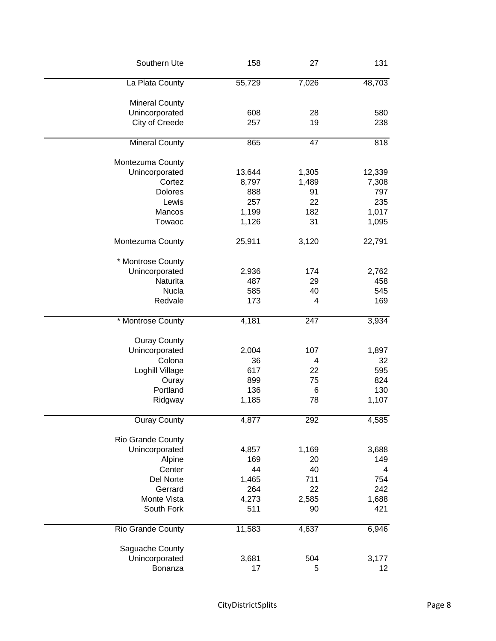| Southern Ute             | 158    | 27    | 131    |
|--------------------------|--------|-------|--------|
| La Plata County          | 55,729 | 7,026 | 48,703 |
| <b>Mineral County</b>    |        |       |        |
| Unincorporated           | 608    | 28    | 580    |
| City of Creede           | 257    | 19    | 238    |
| Mineral County           | 865    | 47    | 818    |
| Montezuma County         |        |       |        |
| Unincorporated           | 13,644 | 1,305 | 12,339 |
| Cortez                   | 8,797  | 1,489 | 7,308  |
| <b>Dolores</b>           | 888    | 91    | 797    |
| Lewis                    | 257    | 22    | 235    |
| Mancos                   | 1,199  | 182   | 1,017  |
| Towaoc                   | 1,126  | 31    | 1,095  |
| Montezuma County         | 25,911 | 3,120 | 22,791 |
| * Montrose County        |        |       |        |
| Unincorporated           | 2,936  | 174   | 2,762  |
| Naturita                 | 487    | 29    | 458    |
| Nucla                    | 585    | 40    | 545    |
| Redvale                  | 173    | 4     | 169    |
| * Montrose County        | 4,181  | 247   | 3,934  |
|                          |        |       |        |
| <b>Ouray County</b>      |        |       |        |
| Unincorporated           | 2,004  | 107   | 1,897  |
| Colona                   | 36     | 4     | 32     |
| Loghill Village          | 617    | 22    | 595    |
| Ouray                    | 899    | 75    | 824    |
| Portland                 | 136    | 6     | 130    |
| Ridgway                  | 1,185  | 78    | 1,107  |
| <b>Ouray County</b>      | 4,877  | 292   | 4,585  |
| Rio Grande County        |        |       |        |
| Unincorporated           | 4,857  | 1,169 | 3,688  |
| Alpine                   | 169    | 20    | 149    |
| Center                   | 44     | 40    | 4      |
| Del Norte                | 1,465  | 711   | 754    |
| Gerrard                  | 264    | 22    | 242    |
| Monte Vista              | 4,273  | 2,585 | 1,688  |
| South Fork               | 511    | 90    | 421    |
| <b>Rio Grande County</b> | 11,583 | 4,637 | 6,946  |
|                          |        |       |        |
| Saguache County          |        |       |        |
| Unincorporated           | 3,681  | 504   | 3,177  |
| Bonanza                  | 17     | 5     | 12     |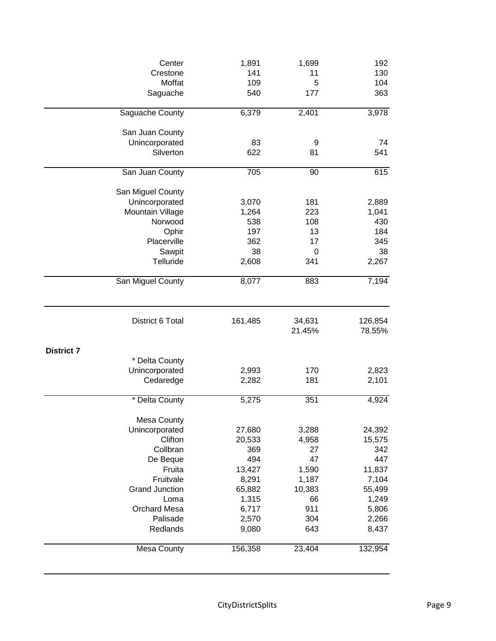|                   | Center                | 1,891   | 1,699            | 192               |
|-------------------|-----------------------|---------|------------------|-------------------|
|                   | Crestone              | 141     | 11               | 130               |
|                   | Moffat                | 109     | 5                | 104               |
|                   | Saguache              | 540     | 177              | 363               |
|                   | Saguache County       | 6,379   | 2,401            | 3,978             |
|                   | San Juan County       |         |                  |                   |
|                   | Unincorporated        | 83      | 9                | 74                |
|                   | Silverton             | 622     | 81               | 541               |
|                   | San Juan County       | 705     | 90               | 615               |
|                   | San Miguel County     |         |                  |                   |
|                   | Unincorporated        | 3,070   | 181              | 2,889             |
|                   | Mountain Village      | 1,264   | 223              | 1,041             |
|                   | Norwood               | 538     | 108              | 430               |
|                   | Ophir                 | 197     | 13               | 184               |
|                   | Placerville           | 362     | 17               | 345               |
|                   | Sawpit                | 38      | 0                | 38                |
|                   | Telluride             | 2,608   | 341              | 2,267             |
|                   | San Miguel County     | 8,077   | 883              | 7,194             |
|                   | District 6 Total      | 161,485 | 34,631<br>21.45% | 126,854<br>78.55% |
| <b>District 7</b> |                       |         |                  |                   |
|                   | * Delta County        |         |                  |                   |
|                   | Unincorporated        | 2,993   | 170              | 2,823             |
|                   | Cedaredge             | 2,282   | 181              | 2,101             |
|                   | * Delta County        | 5,275   | 351              | 4,924             |
|                   | <b>Mesa County</b>    |         |                  |                   |
|                   | Unincorporated        | 27,680  | 3,288            | 24,392            |
|                   | Clifton               | 20,533  | 4,958            | 15,575            |
|                   | Collbran              | 369     | 27               | 342               |
|                   | De Beque              | 494     | 47               | 447               |
|                   | Fruita                | 13,427  | 1,590            | 11,837            |
|                   | Fruitvale             | 8,291   | 1,187            | 7,104             |
|                   | <b>Grand Junction</b> | 65,882  | 10,383           | 55,499            |
|                   | Loma                  | 1,315   | 66               | 1,249             |
|                   | <b>Orchard Mesa</b>   | 6,717   | 911              | 5,806             |
|                   | Palisade              | 2,570   | 304              | 2,266             |
|                   | Redlands              | 9,080   | 643              | 8,437             |
|                   |                       |         |                  |                   |
|                   | Mesa County           | 156,358 | 23,404           | 132,954           |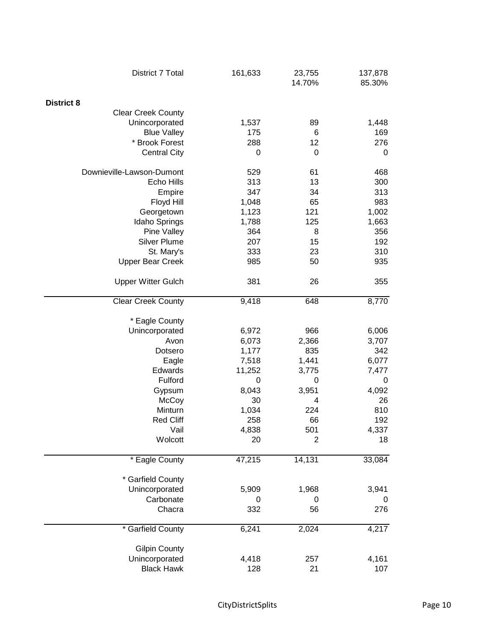| District 7 Total          | 161,633 | 23,755<br>14.70% | 137,878<br>85.30% |
|---------------------------|---------|------------------|-------------------|
| <b>District 8</b>         |         |                  |                   |
| <b>Clear Creek County</b> |         |                  |                   |
| Unincorporated            | 1,537   | 89               | 1,448             |
| <b>Blue Valley</b>        | 175     | 6                | 169               |
| * Brook Forest            | 288     | 12               | 276               |
| <b>Central City</b>       | 0       | 0                | 0                 |
|                           |         |                  |                   |
| Downieville-Lawson-Dumont | 529     | 61               | 468               |
| Echo Hills                | 313     | 13               | 300               |
| Empire                    | 347     | 34               | 313               |
| Floyd Hill                | 1,048   | 65               | 983               |
| Georgetown                | 1,123   | 121              | 1,002             |
| Idaho Springs             | 1,788   | 125              | 1,663             |
| Pine Valley               | 364     | 8                | 356               |
| <b>Silver Plume</b>       | 207     | 15               | 192               |
| St. Mary's                | 333     | 23               | 310               |
| <b>Upper Bear Creek</b>   | 985     | 50               | 935               |
|                           |         |                  |                   |
| <b>Upper Witter Gulch</b> | 381     | 26               | 355               |
| <b>Clear Creek County</b> | 9,418   | 648              | 8,770             |
|                           |         |                  |                   |
| * Eagle County            |         |                  |                   |
| Unincorporated            | 6,972   | 966              | 6,006             |
| Avon                      | 6,073   | 2,366            | 3,707             |
| Dotsero                   | 1,177   | 835              | 342               |
| Eagle                     | 7,518   | 1,441            | 6,077             |
| Edwards                   | 11,252  | 3,775            | 7,477             |
| Fulford                   | 0       | 0                | 0                 |
| Gypsum                    | 8,043   | 3,951            | 4,092             |
| McCoy                     | 30      | 4                | 26                |
| Minturn                   | 1,034   | 224              | 810               |
| <b>Red Cliff</b>          | 258     | 66               | 192               |
| Vail                      | 4,838   | 501              | 4,337             |
| Wolcott                   | 20      | 2                | 18                |
|                           |         |                  |                   |
| * Eagle County            | 47,215  | 14,131           | 33,084            |
| * Garfield County         |         |                  |                   |
| Unincorporated            | 5,909   | 1,968            | 3,941             |
| Carbonate                 | 0       | 0                | 0                 |
| Chacra                    | 332     | 56               | 276               |
| * Garfield County         | 6,241   | 2,024            | 4,217             |
|                           |         |                  |                   |
| <b>Gilpin County</b>      |         |                  |                   |
| Unincorporated            | 4,418   | 257              | 4,161             |
| <b>Black Hawk</b>         | 128     | 21               | 107               |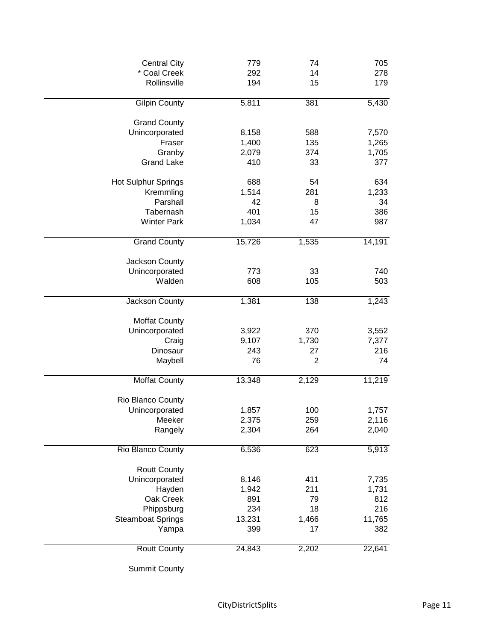| <b>Central City</b>              | 779    | 74             | 705    |
|----------------------------------|--------|----------------|--------|
| * Coal Creek                     | 292    | 14             | 278    |
| Rollinsville                     | 194    | 15             | 179    |
| <b>Gilpin County</b>             | 5,811  | 381            | 5,430  |
| <b>Grand County</b>              |        |                |        |
| Unincorporated                   | 8,158  | 588            | 7,570  |
| Fraser                           | 1,400  | 135            | 1,265  |
| Granby                           | 2,079  | 374            | 1,705  |
| <b>Grand Lake</b>                | 410    | 33             | 377    |
| Hot Sulphur Springs              | 688    | 54             | 634    |
| Kremmling                        | 1,514  | 281            | 1,233  |
| Parshall                         | 42     | 8              | 34     |
| Tabernash                        | 401    | 15             | 386    |
| <b>Winter Park</b>               | 1,034  | 47             | 987    |
| <b>Grand County</b>              | 15,726 | 1,535          | 14,191 |
|                                  |        |                |        |
| Jackson County<br>Unincorporated | 773    | 33             | 740    |
| Walden                           | 608    | 105            | 503    |
|                                  |        |                |        |
| Jackson County                   | 1,381  | 138            | 1,243  |
| <b>Moffat County</b>             |        |                |        |
| Unincorporated                   | 3,922  | 370            | 3,552  |
| Craig                            | 9,107  | 1,730          | 7,377  |
| Dinosaur                         | 243    | 27             | 216    |
| Maybell                          | 76     | $\overline{2}$ | 74     |
| <b>Moffat County</b>             | 13,348 | 2,129          | 11,219 |
| Rio Blanco County                |        |                |        |
| Unincorporated                   | 1,857  | 100            | 1,757  |
| Meeker                           | 2,375  | 259            | 2,116  |
| Rangely                          | 2,304  | 264            | 2,040  |
| Rio Blanco County                | 6,536  | 623            | 5,913  |
|                                  |        |                |        |
| <b>Routt County</b>              |        |                |        |
| Unincorporated                   | 8,146  | 411            | 7,735  |
| Hayden                           | 1,942  | 211            | 1,731  |
| Oak Creek                        | 891    | 79             | 812    |
| Phippsburg                       | 234    | 18             | 216    |
| <b>Steamboat Springs</b>         | 13,231 | 1,466<br>17    | 11,765 |
| Yampa                            | 399    |                | 382    |
| <b>Routt County</b>              | 24,843 | 2,202          | 22,641 |

Summit County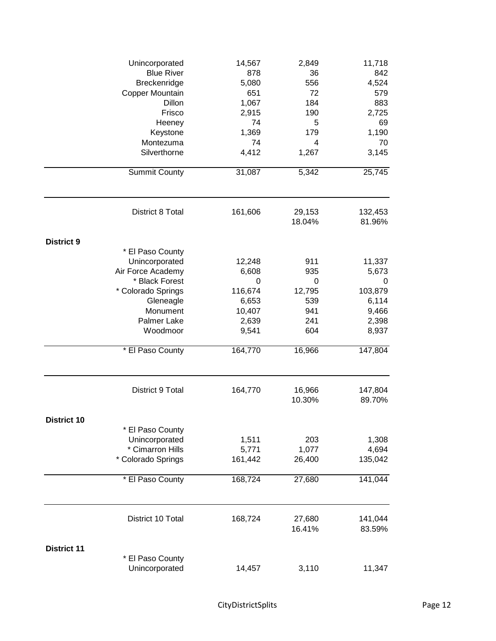|                    | Unincorporated                         | 14,567           | 2,849            | 11,718            |
|--------------------|----------------------------------------|------------------|------------------|-------------------|
|                    | <b>Blue River</b>                      | 878              | 36               | 842               |
|                    | Breckenridge                           | 5,080            | 556              | 4,524             |
|                    | Copper Mountain                        | 651              | 72               | 579               |
|                    | Dillon                                 | 1,067            | 184              | 883               |
|                    | Frisco                                 | 2,915            | 190              | 2,725             |
|                    | Heeney                                 | 74               | 5                | 69                |
|                    | Keystone                               | 1,369            | 179              | 1,190             |
|                    | Montezuma                              | 74               | 4                | 70                |
|                    | Silverthorne                           | 4,412            | 1,267            | 3,145             |
|                    | <b>Summit County</b>                   | 31,087           | 5,342            | 25,745            |
|                    | District 8 Total                       | 161,606          | 29,153           | 132,453           |
|                    |                                        |                  | 18.04%           | 81.96%            |
| <b>District 9</b>  |                                        |                  |                  |                   |
|                    | * El Paso County                       |                  |                  |                   |
|                    | Unincorporated                         | 12,248           | 911              | 11,337            |
|                    | Air Force Academy                      | 6,608            | 935              | 5,673             |
|                    | * Black Forest                         | 0                | 0                | 0                 |
|                    | * Colorado Springs                     | 116,674          | 12,795           | 103,879           |
|                    | Gleneagle                              | 6,653            | 539              | 6,114             |
|                    | Monument                               | 10,407           | 941              | 9,466             |
|                    | Palmer Lake                            | 2,639            | 241              | 2,398             |
|                    | Woodmoor                               | 9,541            | 604              | 8,937             |
|                    | * El Paso County                       | 164,770          | 16,966           | 147,804           |
|                    | District 9 Total                       | 164,770          | 16,966<br>10.30% | 147,804<br>89.70% |
|                    |                                        |                  |                  |                   |
| <b>District 10</b> |                                        |                  |                  |                   |
|                    | * El Paso County                       |                  |                  |                   |
|                    | Unincorporated                         | 1,511            | 203              | 1,308             |
|                    | * Cimarron Hills<br>* Colorado Springs | 5,771<br>161,442 | 1,077<br>26,400  | 4,694<br>135,042  |
|                    | * El Paso County                       | 168,724          | 27,680           | 141,044           |
|                    |                                        |                  |                  |                   |
|                    | District 10 Total                      | 168,724          | 27,680           | 141,044           |
|                    |                                        |                  | 16.41%           | 83.59%            |
| <b>District 11</b> |                                        |                  |                  |                   |
|                    | * El Paso County                       |                  |                  |                   |
|                    | Unincorporated                         | 14,457           | 3,110            | 11,347            |
|                    |                                        |                  |                  |                   |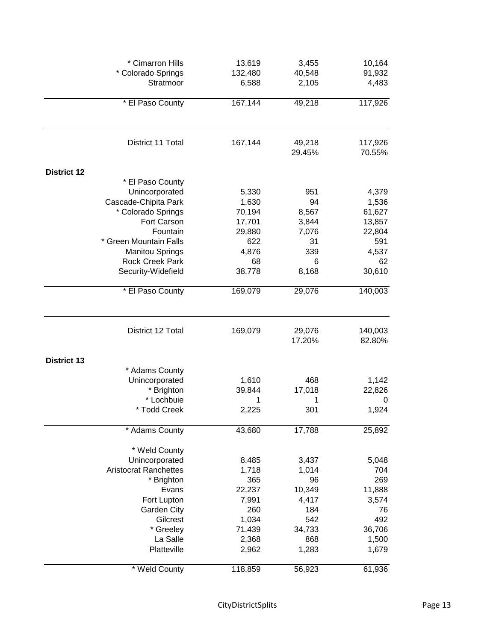|                    | * Cimarron Hills                | 13,619           | 3,455            | 10,164            |
|--------------------|---------------------------------|------------------|------------------|-------------------|
|                    | * Colorado Springs<br>Stratmoor | 132,480<br>6,588 | 40,548<br>2,105  | 91,932<br>4,483   |
|                    | * El Paso County                | 167,144          | 49,218           | 117,926           |
|                    | District 11 Total               | 167,144          | 49,218<br>29.45% | 117,926<br>70.55% |
| <b>District 12</b> |                                 |                  |                  |                   |
|                    | * El Paso County                |                  |                  |                   |
|                    | Unincorporated                  | 5,330            | 951              | 4,379             |
|                    | Cascade-Chipita Park            | 1,630            | 94               | 1,536             |
|                    | * Colorado Springs              | 70,194           | 8,567            | 61,627            |
|                    | Fort Carson                     | 17,701           | 3,844            | 13,857            |
|                    | Fountain                        | 29,880           | 7,076            | 22,804            |
|                    | * Green Mountain Falls          | 622              | 31               | 591               |
|                    | <b>Manitou Springs</b>          | 4,876            | 339              | 4,537             |
|                    | <b>Rock Creek Park</b>          | 68               | 6                | 62                |
|                    | Security-Widefield              | 38,778           | 8,168            | 30,610            |
|                    | * El Paso County                | 169,079          | 29,076           | 140,003           |
|                    | District 12 Total               | 169,079          | 29,076<br>17.20% | 140,003<br>82.80% |
| <b>District 13</b> |                                 |                  |                  |                   |
|                    | * Adams County                  |                  |                  |                   |
|                    | Unincorporated                  | 1,610            | 468              | 1,142             |
|                    | * Brighton                      | 39,844           | 17,018           | 22,826            |
|                    | * Lochbuie                      | 1                | 1                | 0                 |
|                    | * Todd Creek                    | 2,225            | 301              | 1,924             |
|                    | * Adams County                  | 43,680           | 17,788           | 25,892            |
|                    | * Weld County                   |                  |                  |                   |
|                    | Unincorporated                  | 8,485            | 3,437            | 5,048             |
|                    | <b>Aristocrat Ranchettes</b>    | 1,718            | 1,014            | 704               |
|                    | * Brighton                      | 365              | 96               | 269               |
|                    | Evans                           | 22,237           | 10,349           | 11,888            |
|                    | Fort Lupton                     | 7,991            | 4,417            | 3,574             |
|                    | Garden City                     | 260              | 184              | 76                |
|                    | Gilcrest                        | 1,034            | 542              | 492               |
|                    | * Greeley                       | 71,439           | 34,733           | 36,706            |
|                    | La Salle                        | 2,368            | 868              | 1,500             |
|                    | Platteville                     | 2,962            | 1,283            | 1,679             |
|                    | * Weld County                   | 118,859          | 56,923           | 61,936            |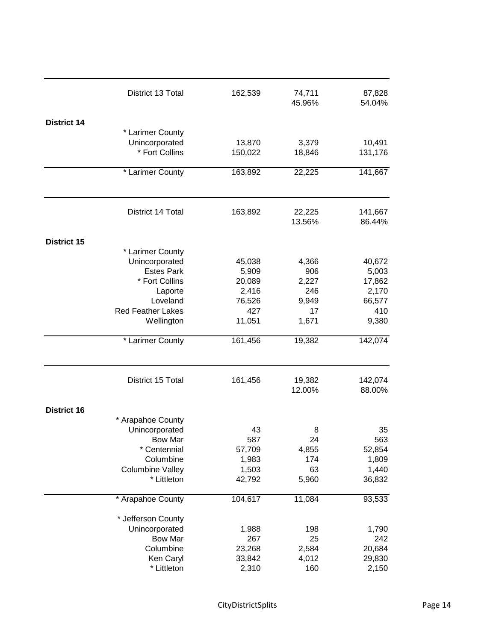|                    | District 13 Total                    | 162,539       | 74,711<br>45.96% | 87,828<br>54.04%  |
|--------------------|--------------------------------------|---------------|------------------|-------------------|
| <b>District 14</b> |                                      |               |                  |                   |
|                    | * Larimer County                     |               |                  |                   |
|                    | Unincorporated                       | 13,870        | 3,379            | 10,491            |
|                    | * Fort Collins                       | 150,022       | 18,846           | 131,176           |
|                    |                                      |               |                  |                   |
|                    | * Larimer County                     | 163,892       | 22,225           | 141,667           |
|                    | District 14 Total                    |               |                  |                   |
|                    |                                      | 163,892       | 22,225<br>13.56% | 141,667<br>86.44% |
| <b>District 15</b> |                                      |               |                  |                   |
|                    | * Larimer County                     |               |                  |                   |
|                    | Unincorporated                       | 45,038        | 4,366            | 40,672            |
|                    | <b>Estes Park</b>                    | 5,909         | 906              | 5,003             |
|                    | * Fort Collins                       | 20,089        | 2,227            | 17,862            |
|                    | Laporte                              | 2,416         | 246              | 2,170             |
|                    | Loveland<br><b>Red Feather Lakes</b> | 76,526<br>427 | 9,949<br>17      | 66,577<br>410     |
|                    | Wellington                           | 11,051        | 1,671            | 9,380             |
|                    | * Larimer County                     | 161,456       | 19,382           | 142,074           |
|                    | District 15 Total                    | 161,456       | 19,382<br>12.00% | 142,074<br>88.00% |
|                    |                                      |               |                  |                   |
| <b>District 16</b> |                                      |               |                  |                   |
|                    | * Arapahoe County<br>Unincorporated  | 43            | 8                | 35                |
|                    | <b>Bow Mar</b>                       | 587           | 24               | 563               |
|                    | * Centennial                         | 57,709        | 4,855            | 52,854            |
|                    | Columbine                            | 1,983         | 174              | 1,809             |
|                    | <b>Columbine Valley</b>              | 1,503         | 63               | 1,440             |
|                    | * Littleton                          | 42,792        | 5,960            | 36,832            |
|                    | * Arapahoe County                    | 104,617       | 11,084           | 93,533            |
|                    | * Jefferson County                   |               |                  |                   |
|                    | Unincorporated                       | 1,988         | 198              | 1,790             |
|                    | <b>Bow Mar</b>                       | 267           | 25               | 242               |
|                    | Columbine                            | 23,268        | 2,584            | 20,684            |
|                    | Ken Caryl                            | 33,842        | 4,012            | 29,830            |
|                    | * Littleton                          | 2,310         | 160              | 2,150             |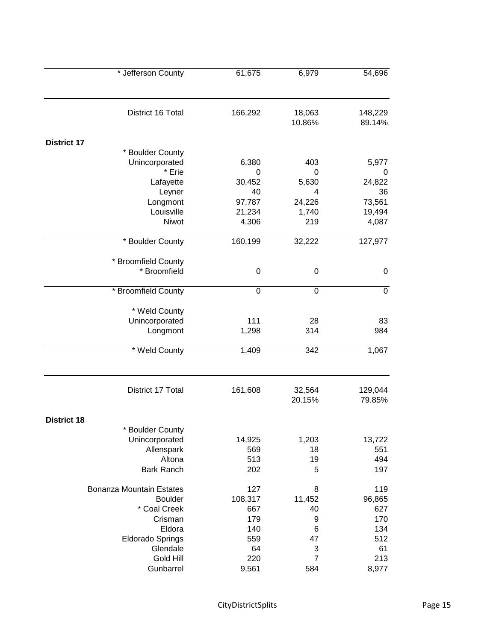| * Jefferson County                 | 61,675        | 6,979            | 54,696            |
|------------------------------------|---------------|------------------|-------------------|
| District 16 Total                  | 166,292       | 18,063           | 148,229           |
|                                    |               | 10.86%           | 89.14%            |
| <b>District 17</b>                 |               |                  |                   |
| * Boulder County                   |               |                  |                   |
| Unincorporated                     | 6,380         | 403              | 5,977             |
| * Erie                             | 0             | 0                | 0                 |
| Lafayette                          | 30,452        | 5,630            | 24,822            |
| Leyner                             | 40            | 4                | 36                |
| Longmont                           | 97,787        | 24,226           | 73,561            |
| Louisville                         | 21,234        | 1,740            | 19,494            |
| Niwot                              | 4,306         | 219              | 4,087             |
| * Boulder County                   | 160,199       | 32,222           | 127,977           |
| * Broomfield County                |               |                  |                   |
| * Broomfield                       | 0             | 0                | $\boldsymbol{0}$  |
|                                    |               |                  |                   |
| * Broomfield County                | 0             | 0                | $\mathbf 0$       |
| * Weld County                      |               |                  |                   |
| Unincorporated                     | 111           | 28               | 83                |
| Longmont                           | 1,298         | 314              | 984               |
| * Weld County                      | 1,409         | 342              | 1,067             |
| District 17 Total                  | 161,608       | 32,564<br>20.15% | 129,044<br>79.85% |
|                                    |               |                  |                   |
| <b>District 18</b>                 |               |                  |                   |
| * Boulder County<br>Unincorporated |               |                  |                   |
|                                    | 14,925<br>569 | 1,203<br>18      | 13,722<br>551     |
| Allenspark<br>Altona               | 513           | 19               | 494               |
| <b>Bark Ranch</b>                  | 202           | 5                | 197               |
|                                    |               |                  |                   |
| <b>Bonanza Mountain Estates</b>    | 127           | 8                | 119               |
| <b>Boulder</b>                     | 108,317       | 11,452           | 96,865            |
| * Coal Creek                       | 667           | 40               | 627               |
| Crisman                            | 179           | 9                | 170               |
| Eldora                             | 140           | 6                | 134               |
| <b>Eldorado Springs</b>            | 559           | 47               | 512               |
| Glendale                           | 64            | 3                | 61                |
| Gold Hill                          | 220           | $\overline{7}$   | 213               |
| Gunbarrel                          | 9,561         | 584              | 8,977             |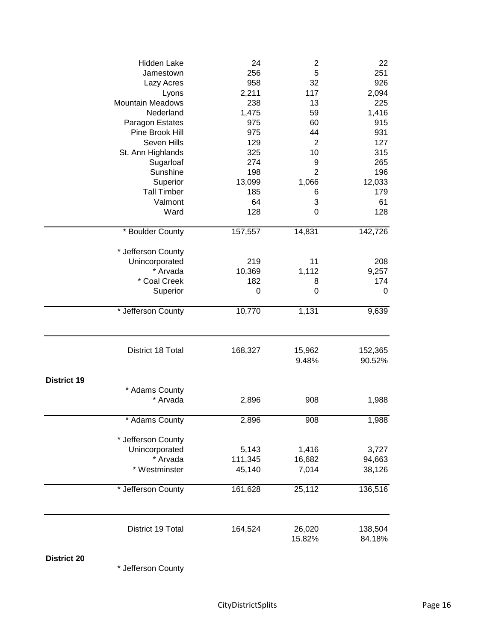|                    | Hidden Lake                | 24      | $\overline{\mathbf{c}}$ | 22                |
|--------------------|----------------------------|---------|-------------------------|-------------------|
|                    | Jamestown                  | 256     | 5                       | 251               |
|                    | Lazy Acres                 | 958     | 32                      | 926               |
|                    | Lyons                      | 2,211   | 117                     | 2,094             |
|                    | <b>Mountain Meadows</b>    | 238     | 13                      | 225               |
|                    | Nederland                  | 1,475   | 59                      | 1,416             |
|                    | Paragon Estates            | 975     | 60                      | 915               |
|                    | Pine Brook Hill            | 975     | 44                      | 931               |
|                    | Seven Hills                | 129     | $\overline{2}$          | 127               |
|                    | St. Ann Highlands          | 325     | 10                      | 315               |
|                    | Sugarloaf                  | 274     | 9                       | 265               |
|                    | Sunshine                   | 198     | $\overline{2}$          | 196               |
|                    | Superior                   | 13,099  | 1,066                   | 12,033            |
|                    | <b>Tall Timber</b>         | 185     | 6                       | 179               |
|                    | Valmont                    | 64      | 3                       | 61                |
|                    | Ward                       | 128     | $\mathbf 0$             | 128               |
|                    | * Boulder County           | 157,557 | 14,831                  | 142,726           |
|                    |                            |         |                         |                   |
|                    | * Jefferson County         | 219     | 11                      |                   |
|                    | Unincorporated             |         |                         | 208               |
|                    | * Arvada                   | 10,369  | 1,112                   | 9,257             |
|                    | * Coal Creek               | 182     | 8                       | 174               |
|                    | Superior                   | 0       | $\mathbf 0$             | $\mathbf 0$       |
|                    | * Jefferson County         | 10,770  | 1,131                   | 9,639             |
|                    | District 18 Total          | 168,327 | 15,962<br>9.48%         | 152,365<br>90.52% |
| <b>District 19</b> |                            |         |                         |                   |
|                    |                            |         |                         |                   |
|                    | * Adams County<br>* Arvada | 2,896   | 908                     | 1,988             |
|                    | * Adams County             | 2,896   | 908                     | 1,988             |
|                    | * Jefferson County         |         |                         |                   |
|                    | Unincorporated             | 5,143   | 1,416                   | 3,727             |
|                    | * Arvada                   | 111,345 | 16,682                  | 94,663            |
|                    | * Westminster              | 45,140  | 7,014                   | 38,126            |
|                    | * Jefferson County         | 161,628 | 25,112                  | 136,516           |
|                    |                            |         |                         |                   |
|                    | District 19 Total          | 164,524 | 26,020                  | 138,504           |
|                    |                            |         | 15.82%                  | 84.18%            |

**District 20**

\* Jefferson County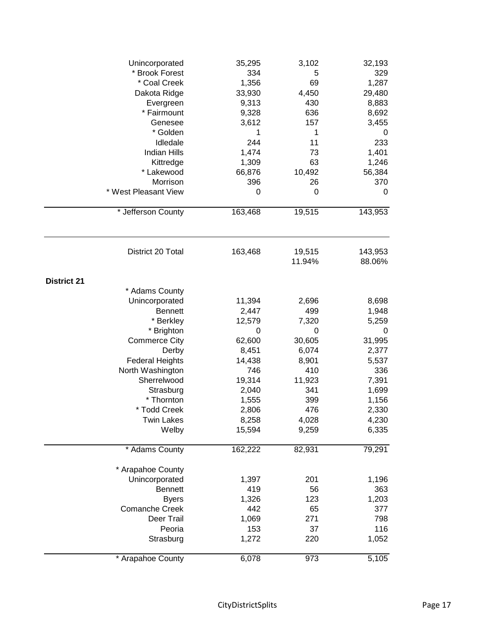| Unincorporated         | 35,295  | 3,102  | 32,193  |
|------------------------|---------|--------|---------|
| * Brook Forest         | 334     | 5      | 329     |
| * Coal Creek           | 1,356   | 69     | 1,287   |
| Dakota Ridge           | 33,930  | 4,450  | 29,480  |
| Evergreen              | 9,313   | 430    | 8,883   |
| * Fairmount            | 9,328   | 636    | 8,692   |
| Genesee                | 3,612   | 157    | 3,455   |
| * Golden               | 1       | 1      | 0       |
| Idledale               | 244     | 11     | 233     |
| <b>Indian Hills</b>    | 1,474   | 73     | 1,401   |
| Kittredge              | 1,309   | 63     | 1,246   |
| * Lakewood             | 66,876  | 10,492 | 56,384  |
| Morrison               | 396     | 26     | 370     |
| * West Pleasant View   | 0       | 0      | 0       |
| * Jefferson County     | 163,468 | 19,515 | 143,953 |
|                        |         |        |         |
| District 20 Total      | 163,468 | 19,515 | 143,953 |
|                        |         | 11.94% | 88.06%  |
| <b>District 21</b>     |         |        |         |
| * Adams County         |         |        |         |
| Unincorporated         | 11,394  | 2,696  | 8,698   |
| <b>Bennett</b>         | 2,447   | 499    | 1,948   |
| * Berkley              | 12,579  | 7,320  | 5,259   |
| * Brighton             | 0       | 0      | 0       |
| <b>Commerce City</b>   | 62,600  | 30,605 | 31,995  |
| Derby                  | 8,451   | 6,074  | 2,377   |
| <b>Federal Heights</b> | 14,438  | 8,901  | 5,537   |
| North Washington       | 746     | 410    | 336     |
| Sherrelwood            | 19,314  | 11,923 | 7,391   |
| Strasburg              | 2,040   | 341    | 1,699   |
| * Thornton             | 1,555   | 399    | 1,156   |
| * Todd Creek           | 2,806   | 476    | 2,330   |
| <b>Twin Lakes</b>      | 8,258   | 4,028  | 4,230   |
| Welby                  | 15,594  | 9,259  | 6,335   |
| * Adams County         | 162,222 | 82,931 | 79,291  |
| * Arapahoe County      |         |        |         |
| Unincorporated         | 1,397   | 201    | 1,196   |
| <b>Bennett</b>         | 419     | 56     | 363     |
| <b>Byers</b>           | 1,326   | 123    | 1,203   |
| <b>Comanche Creek</b>  | 442     | 65     | 377     |
| Deer Trail             | 1,069   | 271    | 798     |
| Peoria                 | 153     | 37     | 116     |
| Strasburg              | 1,272   | 220    | 1,052   |
| * Arapahoe County      | 6,078   | 973    | 5,105   |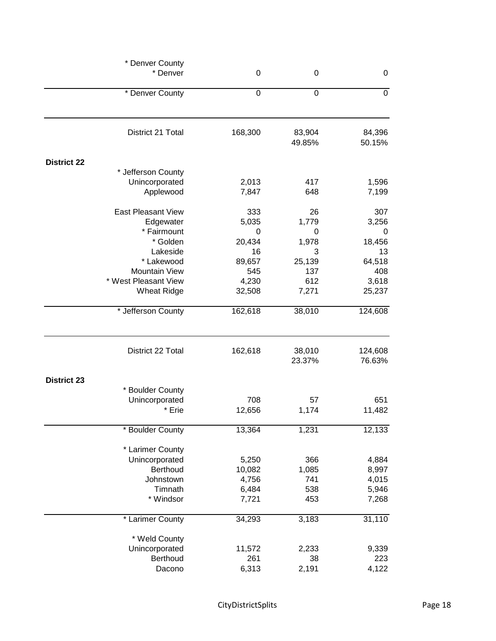| * Denver County           |             |                  |                   |  |
|---------------------------|-------------|------------------|-------------------|--|
| * Denver                  | $\mathbf 0$ | 0                | $\boldsymbol{0}$  |  |
| * Denver County           | $\mathbf 0$ | $\mathbf 0$      | $\mathbf 0$       |  |
| District 21 Total         | 168,300     | 83,904<br>49.85% | 84,396<br>50.15%  |  |
| <b>District 22</b>        |             |                  |                   |  |
| * Jefferson County        |             |                  |                   |  |
| Unincorporated            | 2,013       | 417              | 1,596             |  |
| Applewood                 | 7,847       | 648              | 7,199             |  |
| <b>East Pleasant View</b> | 333         | 26               | 307               |  |
| Edgewater                 | 5,035       | 1,779            | 3,256             |  |
| * Fairmount               | 0           | 0                | 0                 |  |
| * Golden                  | 20,434      | 1,978            | 18,456            |  |
| Lakeside                  | 16          | 3                | 13                |  |
| * Lakewood                | 89,657      | 25,139           | 64,518            |  |
| <b>Mountain View</b>      | 545         | 137              | 408               |  |
| * West Pleasant View      | 4,230       | 612              | 3,618             |  |
| <b>Wheat Ridge</b>        | 32,508      | 7,271            | 25,237            |  |
| * Jefferson County        | 162,618     | 38,010           | 124,608           |  |
| District 22 Total         | 162,618     | 38,010<br>23.37% | 124,608<br>76.63% |  |
| <b>District 23</b>        |             |                  |                   |  |
| * Boulder County          |             |                  |                   |  |
| Unincorporated            | 708         | 57               | 651               |  |
| * Erie                    | 12,656      | 1,174            | 11,482            |  |
| * Boulder County          | 13,364      | 1,231            | 12,133            |  |
| * Larimer County          |             |                  |                   |  |
| Unincorporated            | 5,250       | 366              | 4,884             |  |
| Berthoud                  | 10,082      | 1,085            | 8,997             |  |
| Johnstown                 | 4,756       | 741              | 4,015             |  |
| Timnath                   | 6,484       | 538              | 5,946             |  |
| * Windsor                 | 7,721       | 453              | 7,268             |  |
| * Larimer County          | 34,293      | 3,183            | 31,110            |  |
| * Weld County             |             |                  |                   |  |
| Unincorporated            | 11,572      | 2,233            | 9,339             |  |
| Berthoud                  | 261         | 38               | 223               |  |
| Dacono                    | 6,313       | 2,191            | 4,122             |  |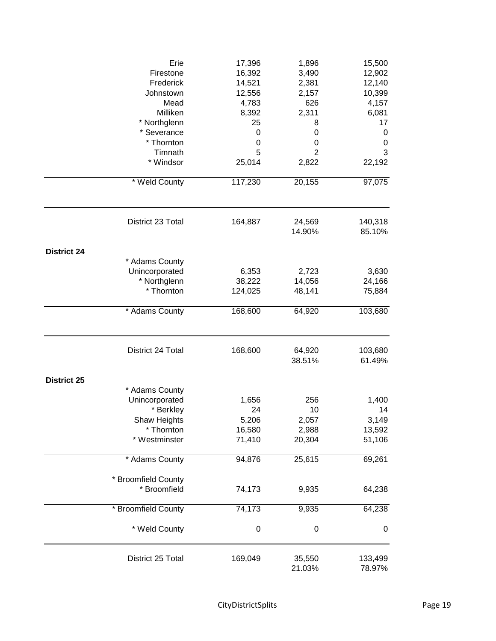|                    | Erie<br>Firestone<br>Frederick<br>Johnstown<br>Mead<br>Milliken<br>* Northglenn<br>* Severance<br>* Thornton<br>Timnath<br>* Windsor | 17,396<br>16,392<br>14,521<br>12,556<br>4,783<br>8,392<br>25<br>$\mathbf 0$<br>$\mathbf 0$<br>5<br>25,014 | 1,896<br>3,490<br>2,381<br>2,157<br>626<br>2,311<br>8<br>0<br>0<br>$\overline{2}$<br>2,822 | 15,500<br>12,902<br>12,140<br>10,399<br>4,157<br>6,081<br>17<br>0<br>0<br>3<br>22,192 |
|--------------------|--------------------------------------------------------------------------------------------------------------------------------------|-----------------------------------------------------------------------------------------------------------|--------------------------------------------------------------------------------------------|---------------------------------------------------------------------------------------|
|                    | * Weld County                                                                                                                        | 117,230                                                                                                   | 20,155                                                                                     | 97,075                                                                                |
|                    | District 23 Total                                                                                                                    | 164,887                                                                                                   | 24,569<br>14.90%                                                                           | 140,318<br>85.10%                                                                     |
| <b>District 24</b> | * Adams County<br>Unincorporated<br>* Northglenn<br>* Thornton<br>* Adams County                                                     | 6,353<br>38,222<br>124,025<br>168,600                                                                     | 2,723<br>14,056<br>48,141<br>64,920                                                        | 3,630<br>24,166<br>75,884<br>103,680                                                  |
|                    |                                                                                                                                      |                                                                                                           |                                                                                            |                                                                                       |
|                    | District 24 Total                                                                                                                    | 168,600                                                                                                   | 64,920<br>38.51%                                                                           | 103,680<br>61.49%                                                                     |
| <b>District 25</b> | * Adams County<br>Unincorporated<br>* Berkley<br>Shaw Heights<br>* Thornton<br>* Westminster                                         | 1,656<br>24<br>5,206<br>16,580<br>71,410                                                                  | 256<br>10<br>2,057<br>2,988<br>20,304                                                      | 1,400<br>14<br>3,149<br>13,592<br>51,106                                              |
|                    | * Adams County                                                                                                                       | 94,876                                                                                                    | 25,615                                                                                     | 69,261                                                                                |
|                    | * Broomfield County<br>* Broomfield                                                                                                  | 74,173                                                                                                    | 9,935                                                                                      | 64,238                                                                                |
|                    | * Broomfield County                                                                                                                  | 74,173                                                                                                    | 9,935                                                                                      | 64,238                                                                                |
|                    | * Weld County                                                                                                                        | $\boldsymbol{0}$                                                                                          | $\mathbf 0$                                                                                | 0                                                                                     |
|                    | District 25 Total                                                                                                                    | 169,049                                                                                                   | 35,550<br>21.03%                                                                           | 133,499<br>78.97%                                                                     |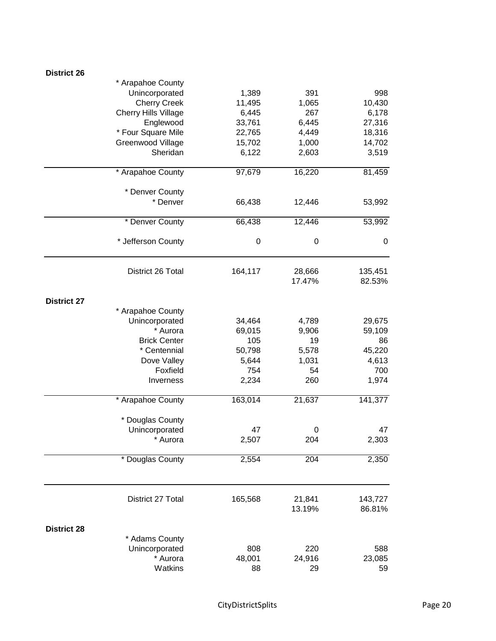| <b>District 26</b> |                             |                  |        |                  |
|--------------------|-----------------------------|------------------|--------|------------------|
|                    | * Arapahoe County           |                  |        |                  |
|                    | Unincorporated              | 1,389            | 391    | 998              |
|                    | <b>Cherry Creek</b>         | 11,495           | 1,065  | 10,430           |
|                    | <b>Cherry Hills Village</b> | 6,445            | 267    | 6,178            |
|                    | Englewood                   | 33,761           | 6,445  | 27,316           |
|                    | * Four Square Mile          | 22,765           | 4,449  | 18,316           |
|                    | Greenwood Village           | 15,702           | 1,000  | 14,702           |
|                    | Sheridan                    | 6,122            | 2,603  | 3,519            |
|                    |                             |                  |        |                  |
|                    | * Arapahoe County           | 97,679           | 16,220 | 81,459           |
|                    | * Denver County             |                  |        |                  |
|                    | * Denver                    | 66,438           | 12,446 | 53,992           |
|                    | * Denver County             | 66,438           | 12,446 | 53,992           |
|                    |                             |                  |        |                  |
|                    | * Jefferson County          | $\boldsymbol{0}$ | 0      | $\boldsymbol{0}$ |
|                    | District 26 Total           | 164,117          | 28,666 | 135,451          |
|                    |                             |                  | 17.47% | 82.53%           |
| <b>District 27</b> |                             |                  |        |                  |
|                    | * Arapahoe County           |                  |        |                  |
|                    | Unincorporated              | 34,464           | 4,789  | 29,675           |
|                    | * Aurora                    | 69,015           | 9,906  | 59,109           |
|                    | <b>Brick Center</b>         | 105              | 19     | 86               |
|                    | * Centennial                | 50,798           | 5,578  | 45,220           |
|                    | Dove Valley                 | 5,644            | 1,031  | 4,613            |
|                    | Foxfield                    | 754              | 54     | 700              |
|                    | Inverness                   | 2,234            | 260    | 1,974            |
|                    | * Arapahoe County           | 163,014          | 21,637 | 141,377          |
|                    |                             |                  |        |                  |
|                    | * Douglas County            |                  |        |                  |
|                    | Unincorporated              | 47               | 0      | 47               |
|                    | * Aurora                    | 2,507            | 204    | 2,303            |
|                    | * Douglas County            | 2,554            | 204    | 2,350            |
|                    | District 27 Total           | 165,568          | 21,841 | 143,727          |
|                    |                             |                  | 13.19% | 86.81%           |
| <b>District 28</b> |                             |                  |        |                  |
|                    | * Adams County              |                  |        |                  |
|                    | Unincorporated              | 808              | 220    | 588              |
|                    | * Aurora                    | 48,001           | 24,916 | 23,085           |
|                    | Watkins                     | 88               | 29     | 59               |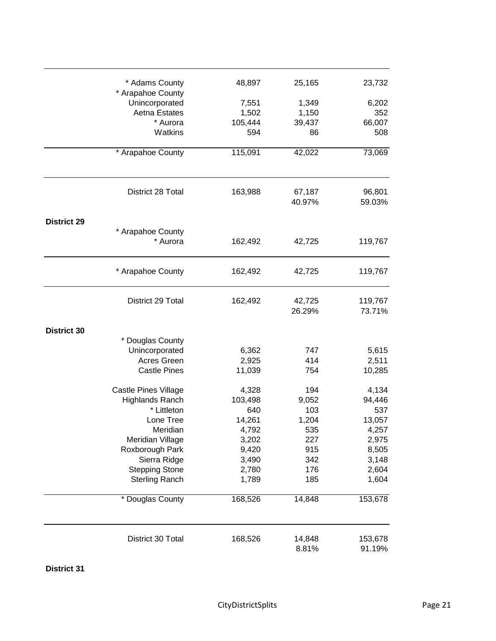| * Adams County                                      | 48,897  | 25,165           | 23,732            |
|-----------------------------------------------------|---------|------------------|-------------------|
| * Arapahoe County                                   |         |                  |                   |
| Unincorporated                                      | 7,551   | 1,349            | 6,202             |
| Aetna Estates                                       | 1,502   | 1,150            | 352               |
| * Aurora                                            | 105,444 | 39,437           | 66,007            |
| Watkins                                             | 594     | 86               | 508               |
| * Arapahoe County                                   | 115,091 | 42,022           | 73,069            |
| District 28 Total                                   | 163,988 | 67,187<br>40.97% | 96,801<br>59.03%  |
| <b>District 29</b><br>* Arapahoe County<br>* Aurora | 162,492 | 42,725           | 119,767           |
| * Arapahoe County                                   | 162,492 | 42,725           | 119,767           |
| District 29 Total                                   | 162,492 | 42,725<br>26.29% | 119,767<br>73.71% |
| <b>District 30</b>                                  |         |                  |                   |
| * Douglas County                                    |         |                  |                   |
| Unincorporated                                      | 6,362   | 747              | 5,615             |
| Acres Green                                         | 2,925   | 414              | 2,511             |
| <b>Castle Pines</b>                                 | 11,039  | 754              | 10,285            |
| Castle Pines Village                                | 4,328   | 194              | 4,134             |
| <b>Highlands Ranch</b>                              | 103,498 | 9,052            | 94,446            |
| * Littleton                                         | 640     | 103              | 537               |
| Lone Tree                                           | 14,261  | 1,204            | 13,057            |
| Meridian                                            | 4,792   | 535              | 4,257             |
| Meridian Village                                    | 3,202   | 227              | 2,975             |
| Roxborough Park                                     | 9,420   | 915              | 8,505             |
| Sierra Ridge                                        | 3,490   | 342              | 3,148             |
| <b>Stepping Stone</b>                               | 2,780   | 176              | 2,604             |
| <b>Sterling Ranch</b>                               | 1,789   | 185              | 1,604             |
| * Douglas County                                    | 168,526 | 14,848           | 153,678           |
| District 30 Total                                   | 168,526 | 14,848<br>8.81%  | 153,678<br>91.19% |

**District 31**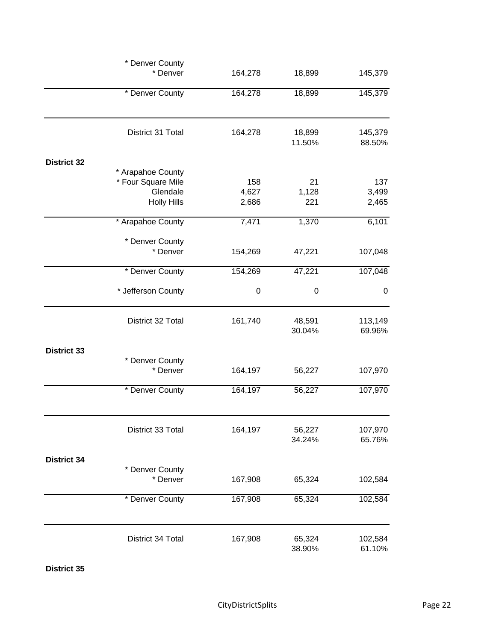|                    | * Denver County                         |                |                  |                   |
|--------------------|-----------------------------------------|----------------|------------------|-------------------|
|                    | * Denver                                | 164,278        | 18,899           | 145,379           |
|                    | * Denver County                         | 164,278        | 18,899           | 145,379           |
|                    | District 31 Total                       | 164,278        | 18,899<br>11.50% | 145,379<br>88.50% |
|                    |                                         |                |                  |                   |
| <b>District 32</b> |                                         |                |                  |                   |
|                    | * Arapahoe County<br>* Four Square Mile | 158            | 21               | 137               |
|                    | Glendale                                |                |                  |                   |
|                    | <b>Holly Hills</b>                      | 4,627<br>2,686 | 1,128<br>221     | 3,499<br>2,465    |
|                    | * Arapahoe County                       | 7,471          | 1,370            | 6,101             |
|                    | * Denver County                         |                |                  |                   |
|                    | * Denver                                | 154,269        | 47,221           | 107,048           |
|                    | * Denver County                         | 154,269        | 47,221           | 107,048           |
|                    | * Jefferson County                      | 0              | 0                | $\boldsymbol{0}$  |
|                    | District 32 Total                       | 161,740        | 48,591<br>30.04% | 113,149<br>69.96% |
| <b>District 33</b> |                                         |                |                  |                   |
|                    | * Denver County<br>* Denver             | 164,197        | 56,227           | 107,970           |
|                    | * Denver County                         | 164,197        | 56,227           | 107,970           |
|                    |                                         |                |                  |                   |
|                    | District 33 Total                       | 164,197        | 56,227<br>34.24% | 107,970<br>65.76% |
| <b>District 34</b> |                                         |                |                  |                   |
|                    | * Denver County                         |                |                  |                   |
|                    | * Denver                                | 167,908        | 65,324           | 102,584           |
|                    | * Denver County                         | 167,908        | 65,324           | 102,584           |
|                    | District 34 Total                       | 167,908        | 65,324           | 102,584           |
|                    |                                         |                | 38.90%           | 61.10%            |

**District 35**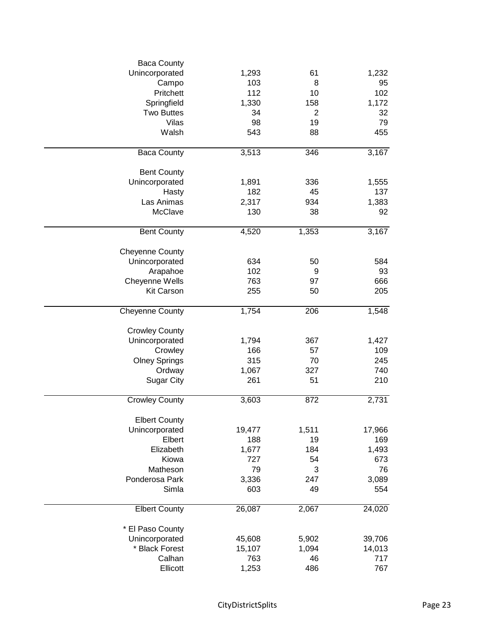| <b>Baca County</b>     |        |                |        |
|------------------------|--------|----------------|--------|
| Unincorporated         | 1,293  | 61             | 1,232  |
| Campo                  | 103    | 8              | 95     |
| Pritchett              | 112    | 10             | 102    |
| Springfield            | 1,330  | 158            | 1,172  |
| <b>Two Buttes</b>      | 34     | $\overline{2}$ | 32     |
| Vilas                  | 98     | 19             | 79     |
| Walsh                  |        | 88             | 455    |
|                        | 543    |                |        |
| <b>Baca County</b>     | 3,513  | 346            | 3,167  |
| <b>Bent County</b>     |        |                |        |
| Unincorporated         | 1,891  | 336            | 1,555  |
| Hasty                  | 182    | 45             | 137    |
| Las Animas             | 2,317  | 934            | 1,383  |
| McClave                | 130    | 38             | 92     |
| <b>Bent County</b>     | 4,520  | 1,353          | 3,167  |
|                        |        |                |        |
| <b>Cheyenne County</b> |        |                |        |
| Unincorporated         | 634    | 50             | 584    |
| Arapahoe               | 102    | 9              | 93     |
| Cheyenne Wells         | 763    | 97             | 666    |
| <b>Kit Carson</b>      | 255    | 50             | 205    |
| <b>Cheyenne County</b> | 1,754  | 206            | 1,548  |
| <b>Crowley County</b>  |        |                |        |
| Unincorporated         | 1,794  | 367            | 1,427  |
| Crowley                | 166    | 57             | 109    |
| <b>Olney Springs</b>   | 315    | 70             | 245    |
| Ordway                 | 1,067  | 327            | 740    |
| <b>Sugar City</b>      | 261    | 51             | 210    |
| <b>Crowley County</b>  | 3,603  | 872            | 2,731  |
|                        |        |                |        |
| <b>Elbert County</b>   |        |                |        |
| Unincorporated         | 19,477 | 1,511          | 17,966 |
| Elbert                 | 188    | 19             | 169    |
| Elizabeth              | 1,677  | 184            | 1,493  |
| Kiowa                  | 727    | 54             | 673    |
| Matheson               | 79     | 3              | 76     |
| Ponderosa Park         | 3,336  | 247            | 3,089  |
| Simla                  | 603    | 49             | 554    |
| <b>Elbert County</b>   | 26,087 | 2,067          | 24,020 |
| * El Paso County       |        |                |        |
| Unincorporated         | 45,608 | 5,902          | 39,706 |
| * Black Forest         |        | 1,094          |        |
|                        | 15,107 |                | 14,013 |
| Calhan                 | 763    | 46             | 717    |
| Ellicott               | 1,253  | 486            | 767    |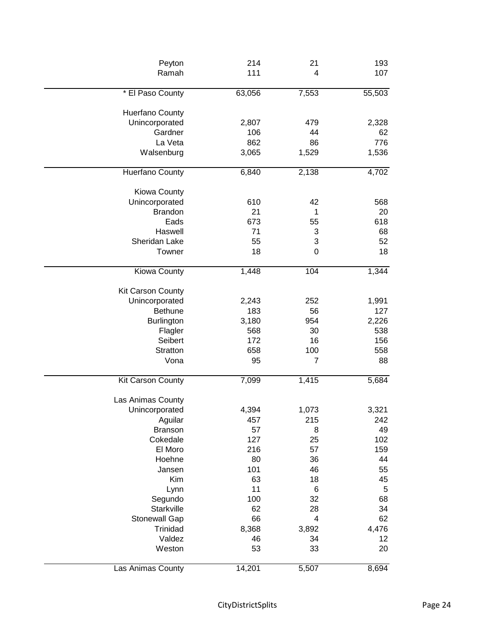| Peyton                 | 214    | 21          | 193    |
|------------------------|--------|-------------|--------|
| Ramah                  | 111    | 4           | 107    |
| * El Paso County       | 63,056 | 7,553       | 55,503 |
| <b>Huerfano County</b> |        |             |        |
| Unincorporated         | 2,807  | 479         | 2,328  |
| Gardner                | 106    | 44          | 62     |
| La Veta                | 862    | 86          | 776    |
| Walsenburg             | 3,065  | 1,529       | 1,536  |
| Huerfano County        | 6,840  | 2,138       | 4,702  |
| Kiowa County           |        |             |        |
| Unincorporated         | 610    | 42          | 568    |
| <b>Brandon</b>         | 21     | $\mathbf 1$ | 20     |
| Eads                   | 673    | 55          | 618    |
| Haswell                | 71     | 3           | 68     |
| Sheridan Lake          | 55     | 3           | 52     |
| Towner                 | 18     | 0           | 18     |
| Kiowa County           | 1,448  | 104         | 1,344  |
| Kit Carson County      |        |             |        |
| Unincorporated         | 2,243  | 252         | 1,991  |
| <b>Bethune</b>         | 183    | 56          | 127    |
| Burlington             | 3,180  | 954         | 2,226  |
| Flagler                | 568    | 30          | 538    |
| Seibert                | 172    | 16          | 156    |
| Stratton               | 658    | 100         | 558    |
| Vona                   | 95     | 7           | 88     |
| Kit Carson County      | 7,099  | 1,415       | 5,684  |
| Las Animas County      |        |             |        |
| Unincorporated         | 4,394  | 1,073       | 3,321  |
| Aguilar                | 457    | 215         | 242    |
| <b>Branson</b>         | 57     | 8           | 49     |
| Cokedale               | 127    | 25          | 102    |
| El Moro                | 216    | 57          | 159    |
| Hoehne                 | 80     | 36          | 44     |
| Jansen                 | 101    | 46          | 55     |
| Kim                    | 63     | 18          | 45     |
| Lynn                   | 11     | 6           | 5      |
| Segundo                | 100    | 32          | 68     |
| Starkville             | 62     | 28          | 34     |
| <b>Stonewall Gap</b>   | 66     | 4           | 62     |
| Trinidad               | 8,368  | 3,892       | 4,476  |
| Valdez                 | 46     | 34          | 12     |
| Weston                 | 53     | 33          | 20     |
| Las Animas County      | 14,201 | 5,507       | 8,694  |